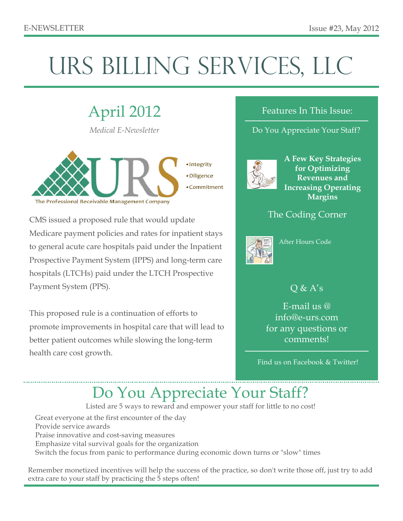# URS BILLING SERVICES, LLC

# April 2012

*Medical E-Newsletter*



CMS issued a proposed rule that would update Medicare payment policies and rates for inpatient stays to general acute care hospitals paid under the Inpatient Prospective Payment System (IPPS) and long-term care hospitals (LTCHs) paid under the LTCH Prospective Payment System (PPS).

This proposed rule is a continuation of efforts to promote improvements in hospital care that will lead to better patient outcomes while slowing the long-term health care cost growth.

#### Features In This Issue:

#### Do You Appreciate Your Staff?



**A Few Key Strategies for Optimizing Revenues and Increasing Operating Margins**

#### The Coding Corner



After Hours Code

### $Q & A's$

E-mail us @ info@e-urs.com for any questions or comments!

Find us on Facebook & Twitter!

### Do You Appreciate Your Staff?

Listed are 5 ways to reward and empower your staff for little to no cost!

Great everyone at the first encounter of the day Provide service awards Praise innovative and cost-saving measures Emphasize vital survival goals for the organization Switch the focus from panic to performance during economic down turns or "slow" times

Remember monetized incentives will help the success of the practice, so don't write those off, just try to add extra care to your staff by practicing the 5 steps often!